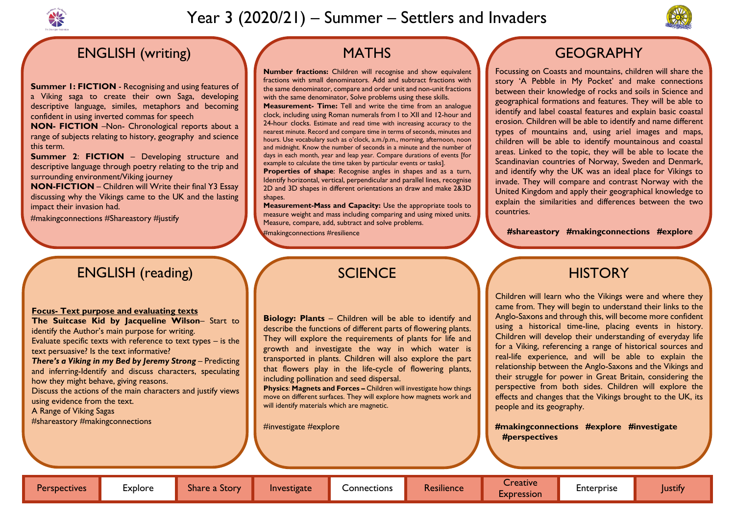

# Year 3 (2020/21) – Summer – Settlers and Invaders

## ENGLISH (writing)

**Summer 1: FICTION** - Recognising and using features of a Viking saga to create their own Saga, developing descriptive language, similes, metaphors and becoming confident in using inverted commas for speech

**NON- FICTION** –Non- Chronological reports about a range of subjects relating to history, geography and science this term.

**Summer 2**: **FICTION** – Developing structure and descriptive language through poetry relating to the trip and surrounding environment/Viking journey

**NON-FICTION** – Children will Write their final Y3 Essay discussing why the Vikings came to the UK and the lasting impact their invasion had.

#makingconnections #Shareastory #justify

## **MATHS**

**Properties of shape:** Recognise angles in shapes and as a turn, Identify horizontal, vertical, perpendicular and parallel lines, recognise 2D and 3D shapes in different orientations an draw and make 2&3D shapes.

**Number fractions:** Children will recognise and show equivalent fractions with small denominators. Add and subtract fractions with the same denominator, compare and order unit and non-unit fractions with the same denominator, Solve problems using these skills.

**Measurement- Time:** Tell and write the time from an analogue clock, including using Roman numerals from I to XII and 12-hour and 24-hour clocks. Estimate and read time with increasing accuracy to the nearest minute. Record and compare time in terms of seconds, minutes and hours. Use vocabulary such as o'clock, a.m./p.m., morning, afternoon, noon and midnight. Know the number of seconds in a minute and the number of days in each month, year and leap year. Compare durations of events [for example to calculate the time taken by particular events or tasks].

**Measurement-Mass and Capacity:** Use the appropriate tools to measure weight and mass including comparing and using mixed units. Measure, compare, add, subtract and solve problems.

#makingconnections #resilience

**Physics**: **Magnets and Forces –** Children will investigate how things move on different surfaces. They will explore how magnets work and will identify materials which are magnetic.

Focussing on Coasts and mountains, children will share the story 'A Pebble in My Pocket' and make connections between their knowledge of rocks and soils in Science and geographical formations and features. They will be able to identify and label coastal features and explain basic coastal erosion. Children will be able to identify and name different types of mountains and, using ariel images and maps, children will be able to identify mountainous and coastal areas. Linked to the topic, they will be able to locate the Scandinavian countries of Norway, Sweden and Denmark, and identify why the UK was an ideal place for Vikings to invade. They will compare and contrast Norway with the United Kingdom and apply their geographical knowledge to explain the similarities and differences between the two countries.

#### **#shareastory #makingconnections #explore**

## **HISTORY**

 **#investigate**

## ENGLISH (reading)

#### **Focus- Text purpose and evaluating texts**

**The Suitcase Kid by Jacqueline Wilson**– Start to identify the Author's main purpose for writing.

Evaluate specific texts with reference to text types – is the text persuasive? Is the text informative?

*There's a Viking in my Bed by Jeremy Strong* – Predicting and inferring-Identify and discuss characters, speculating how they might behave, giving reasons.

Discuss the actions of the main characters and justify views using evidence from the text.

A Range of Viking Sagas

#shareastory #makingconnections

## **SCIENCE**

Children will learn who the Vikings were and where they came from. They will begin to understand their links to the Anglo-Saxons and through this, will become more confident using a historical time-line, placing events in history. Children will develop their understanding of everyday life for a Viking, referencing a range of historical sources and real-life experience, and will be able to explain the relationship between the Anglo-Saxons and the Vikings and their struggle for power in Great Britain, considering the perspective from both sides. Children will explore the effects and changes that the Vikings brought to the UK, its people and its geography.

# **#makingconnections #explore #investigate**

 **#perspectives**



## **GEOGRAPHY**

**Biology: Plants** – Children will be able to identify and describe the functions of different parts of flowering plants. They will explore the requirements of plants for life and growth and investigate the way in which water is transported in plants. Children will also explore the part that flowers play in the life-cycle of flowering plants, including pollination and seed dispersal.

#investigate #explore